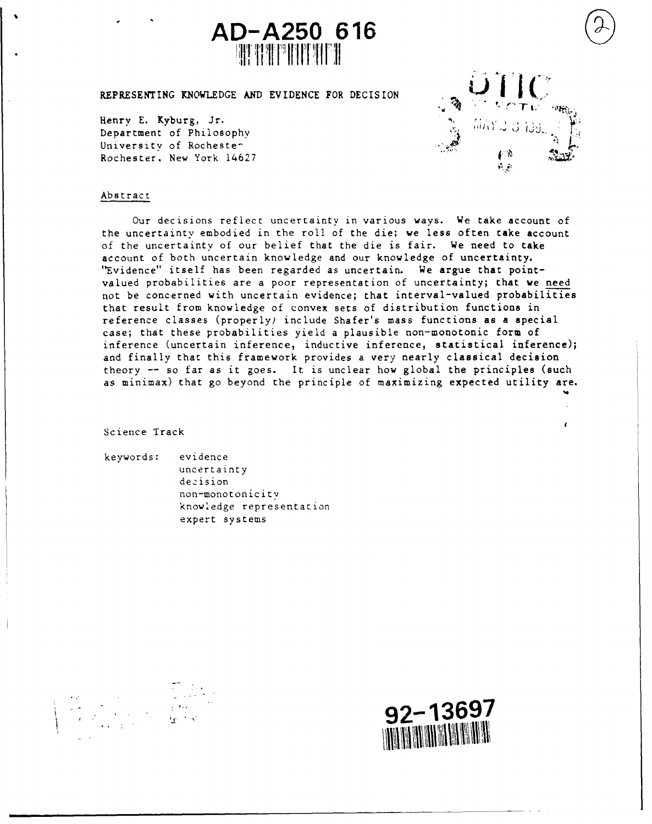

REPRESENTING KNOWLEDGE AND EVIDENCE FOR DECISION

Henry E. Kyburg, Jr. Department of Philosophy University of Rochester Rochester, New York 14627



 $\epsilon$ 

#### Abstract

Our decisions reflect uncertainty in various ways. We take account of the uncertainty embodied in the roll of the die; we less often take account of the uncertainty of our belief that the die is fair. We need to take account of both uncertain knowledge and our knowledge of uncertainty. "Evidence" itself has been regarded as uncertain. We argue that pointvalued probabilities are a poor representation of uncertainty; that we need not be concerned with uncertain evidence; that interval-valued probabilities that result from knowledge of convex sets of distribution functions in reference classes (properly) include Shafer's mass functions as a special case; that these probabilities yield a plausible non-monotonic form of inference (uncertain inference, inductive inference, statistical inference); and finally that this framework provides a very nearly classical decision theory -- so far as it goes. It is unclear how global the principles (such as minimax) that go beyond the principle of maximizing expected utility are.

Science Track

keywords: evidence

uncertainty decision non-monotonicitv knowledge representation expert systems



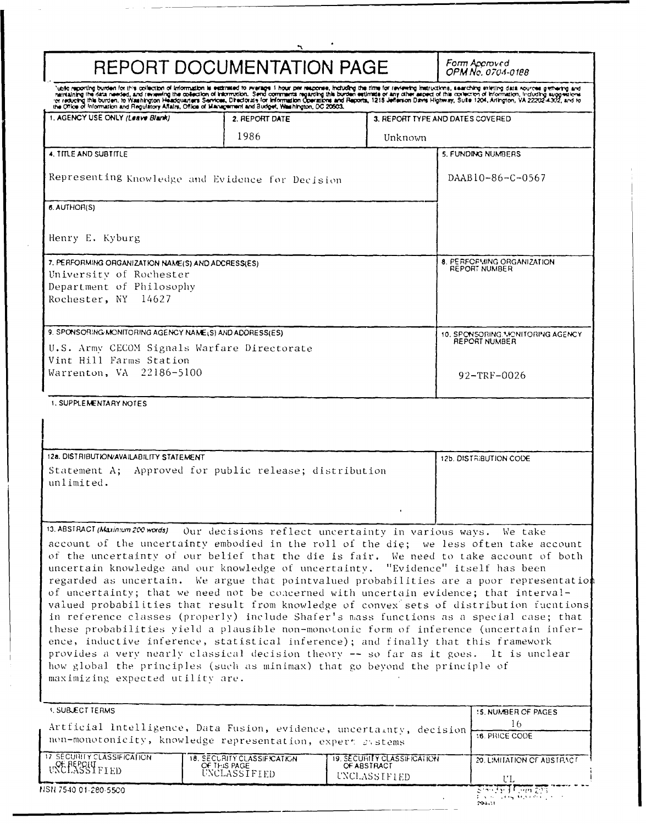|                                                                                                                                  | REPORT DOCUMENTATION PAGE                                                                                                                                                                                                                                                                                           |                                                                   | Form Accroved<br>OPM No. 0704-0188                                                                                                                                                                                                                                                                                                                                                                                                                                                                                                                                                                                                                                                                                                              |  |
|----------------------------------------------------------------------------------------------------------------------------------|---------------------------------------------------------------------------------------------------------------------------------------------------------------------------------------------------------------------------------------------------------------------------------------------------------------------|-------------------------------------------------------------------|-------------------------------------------------------------------------------------------------------------------------------------------------------------------------------------------------------------------------------------------------------------------------------------------------------------------------------------------------------------------------------------------------------------------------------------------------------------------------------------------------------------------------------------------------------------------------------------------------------------------------------------------------------------------------------------------------------------------------------------------------|--|
|                                                                                                                                  |                                                                                                                                                                                                                                                                                                                     |                                                                   | Note reporting burden for this collection of information is estimated to revarge 1 hour per response, including the time for reviewing instructions, searching existing data nources gerharing and neutral and information, in                                                                                                                                                                                                                                                                                                                                                                                                                                                                                                                  |  |
| 1. AGENCY USE ONLY (Leave Blank)                                                                                                 | 2. REPORT DATE                                                                                                                                                                                                                                                                                                      |                                                                   | 3. REPORT TYPE AND DATES COVERED.                                                                                                                                                                                                                                                                                                                                                                                                                                                                                                                                                                                                                                                                                                               |  |
|                                                                                                                                  | 1986                                                                                                                                                                                                                                                                                                                | Unknown                                                           |                                                                                                                                                                                                                                                                                                                                                                                                                                                                                                                                                                                                                                                                                                                                                 |  |
| 4. TITLE AND SUBTITLE                                                                                                            |                                                                                                                                                                                                                                                                                                                     |                                                                   | 5. FUNDING NUMBERS                                                                                                                                                                                                                                                                                                                                                                                                                                                                                                                                                                                                                                                                                                                              |  |
| Representing Knowledge and Evidence for Decision                                                                                 |                                                                                                                                                                                                                                                                                                                     |                                                                   | DAAB10-86-C-0567                                                                                                                                                                                                                                                                                                                                                                                                                                                                                                                                                                                                                                                                                                                                |  |
| 6. AUTHOR(S)                                                                                                                     |                                                                                                                                                                                                                                                                                                                     |                                                                   |                                                                                                                                                                                                                                                                                                                                                                                                                                                                                                                                                                                                                                                                                                                                                 |  |
| Henry E. Kyburg                                                                                                                  |                                                                                                                                                                                                                                                                                                                     |                                                                   |                                                                                                                                                                                                                                                                                                                                                                                                                                                                                                                                                                                                                                                                                                                                                 |  |
| 7. PERFORMING ORGANIZATION NAME(S) AND ADCRESS(ES)<br>University of Rochester<br>Department of Philosophy<br>Rochester, NY 14627 |                                                                                                                                                                                                                                                                                                                     |                                                                   | 8. PERFORMING ORGANIZATION.<br>REPORT NUMBER                                                                                                                                                                                                                                                                                                                                                                                                                                                                                                                                                                                                                                                                                                    |  |
| 9. SPONSORING MONITORING AGENCY NAME(S) AND ADDRESS(ES).                                                                         |                                                                                                                                                                                                                                                                                                                     |                                                                   | 10. SPONSORING. MONITORING AGENCY                                                                                                                                                                                                                                                                                                                                                                                                                                                                                                                                                                                                                                                                                                               |  |
| U.S. Army CECOM Signals Warfare Directorate                                                                                      |                                                                                                                                                                                                                                                                                                                     |                                                                   | REPORT NUMBER                                                                                                                                                                                                                                                                                                                                                                                                                                                                                                                                                                                                                                                                                                                                   |  |
| Vint Hill Farms Station<br>Warrenton, VA 22186-5100                                                                              |                                                                                                                                                                                                                                                                                                                     |                                                                   | $92 - TRF - 0026$                                                                                                                                                                                                                                                                                                                                                                                                                                                                                                                                                                                                                                                                                                                               |  |
| <b>1. SUPPLEMENTARY NOTES</b>                                                                                                    |                                                                                                                                                                                                                                                                                                                     |                                                                   |                                                                                                                                                                                                                                                                                                                                                                                                                                                                                                                                                                                                                                                                                                                                                 |  |
|                                                                                                                                  |                                                                                                                                                                                                                                                                                                                     |                                                                   |                                                                                                                                                                                                                                                                                                                                                                                                                                                                                                                                                                                                                                                                                                                                                 |  |
| 12a. DISTRIBUTION/AVAILABILITY STATEMENT                                                                                         |                                                                                                                                                                                                                                                                                                                     |                                                                   | 12b. DISTRIBUTION CODE                                                                                                                                                                                                                                                                                                                                                                                                                                                                                                                                                                                                                                                                                                                          |  |
| unlimited.                                                                                                                       | Statement A; Approved for public release; distribution                                                                                                                                                                                                                                                              |                                                                   |                                                                                                                                                                                                                                                                                                                                                                                                                                                                                                                                                                                                                                                                                                                                                 |  |
|                                                                                                                                  |                                                                                                                                                                                                                                                                                                                     |                                                                   |                                                                                                                                                                                                                                                                                                                                                                                                                                                                                                                                                                                                                                                                                                                                                 |  |
| 13. ABSTRACT (Maximum 200 words)<br>maximizing expected utility are.                                                             | Our decisions reflect uncertainty in various ways. We take<br>uncertain knowledge and our knowledge of uncertainty. "Evidence" itself has been<br>ence, inductive inference, statistical inference); and finally that this framework<br>how global the principles (such as minimax) that go beyond the principle of |                                                                   | account of the uncertainty embodied in the roll of the die; we less often take account<br>of the uncertainty of our belief that the die is fair. We need to take account of both<br>regarded as uncertain. We argue that pointvalued probabilities are a poor representation<br>of uncertainty; that we need not be concerned with uncertain evidence; that interval-<br>valued probabilities that result from knowledge of convex sets of distribution fucntions<br>in reference classes (properly) include Shafer's mass functions as a special case; that<br>these probabilities yield a plausible non-monotonic form of inference (uncertain infer-<br>provides a very nearly classical decision theory -- so far as it goes. It is unclear |  |
| <b>1. SUBJECT TERMS</b>                                                                                                          |                                                                                                                                                                                                                                                                                                                     |                                                                   | 15. NUMBER OF PAGES                                                                                                                                                                                                                                                                                                                                                                                                                                                                                                                                                                                                                                                                                                                             |  |
|                                                                                                                                  | Artficial Intelligence, Data Fusion, evidence, uncertainty, decision<br>non-monotonicity, knowledge representation, expert systems                                                                                                                                                                                  |                                                                   |                                                                                                                                                                                                                                                                                                                                                                                                                                                                                                                                                                                                                                                                                                                                                 |  |
|                                                                                                                                  |                                                                                                                                                                                                                                                                                                                     |                                                                   | <b>16. PRICE CODE</b>                                                                                                                                                                                                                                                                                                                                                                                                                                                                                                                                                                                                                                                                                                                           |  |
| 17 SECURITY CLASSIFICATION<br><b>UNE PEPOLY FIED</b>                                                                             | 18. SECURITY CLASSIFICATION<br>OF THIS PAGE<br>UNCLASSIFIED                                                                                                                                                                                                                                                         | <b>19. SECURITY CLASSIFICATION</b><br>OF ABSTRACT<br>UNCLASSIFIED | 20. LIMITATION OF ABSTRACT<br>UL.                                                                                                                                                                                                                                                                                                                                                                                                                                                                                                                                                                                                                                                                                                               |  |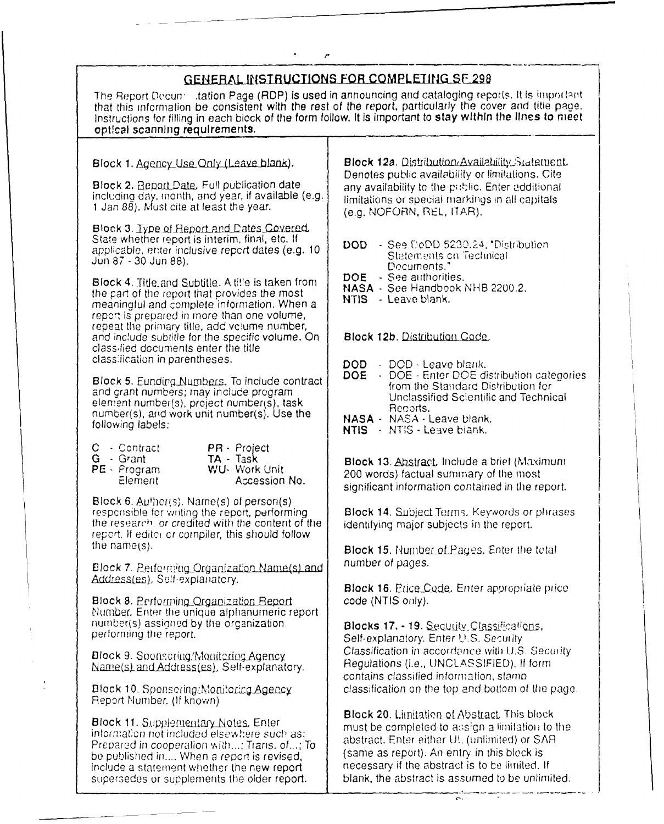# GENERAL INSTRUCTIONS FOR COMPLETING SE 298

The Report Decun, itation Page (RDP) is used in announcing and cataloging reports. It is important that this informiation be consistent with the rest of the report, particularly the cover **and** title pace. lrnstructiorns for filling in each block of the form follow. It is important to **stay within the lines to mect** optical scanning requirements.

including day, month, and year, if available (e.g. limitations or special marking<br>1 Jan 88). Must cite at least the year. (e.g. NOFORN, REL, ITAR).

Block 3. Iype of Report and Dates Covered, State whether report is interim, final, etc. If

Block 4. Title-and Subtitle. A title is taken from **DOE** - See authorities.<br>the notablishment that are idea many **NASA** - See Handbook NHB 2200.2. the part of the report that provides the most  $NBS - SE$  Leave blank. meaningful and complete information. When a report is prepared in more than one volume, repeat the primary title, add volume number, and inc!ude subtitle for the specific volume. On Block **12b.** Distribution Qode\_. class-fied documents enter the title classification in parentheses. **DOD** - DOD - Leave blank.

Block 5. Eurolog Numbers, to include contract from the Standard Distribution for and grant numbers; they include program Unclassified Scientific and Technical  $\begin{array}{ccc} \text{element number(s), project number(s), task} & \text{Unclass} \\ \text{numbers(t), and under time number(s), the table \\ \end{array}$ number(s), and work unit number(s). Use the **NASA -** NASA - Leave blank.<br>**NASA -** NASA - Leave blank.

- 
- 
- 

Block 6. Authors, Name(s) of person(s)<br>responsible for writing the report, performing the research, or credited with the content of the  $\int$  identifying major subjects in the report. report. **If** editoi cr compiler, this should follow

Block 7. **Petforming Organization Name(s) and** number of pages.

Block 8. Performing Organization Beport (NTIS only). Mumibef. Enter the unique alphanumeric report number(s) assigned by the organization **Blocks 17. - 19.** Security Classifications, performing the report.

 $Name(s)$  and Address(es). Self-explanatory.

Report Number. **(If** known)

Block 11. Supplementary Notes. Enter<br>
information not included elsewhere such as:<br>
Prepared in cooperation with...; Trans. of...; To<br>
be published in.... When a report is revised,<br>
include a statement whether the new repor

Block 1. Agency Use Only (Leave blank). **Block 12a.** Distribution Availability Statement Block 2. Beport Date. Full publication date Denotes public availability or limitations. Cite<br>Block 2. Beport Date. Full publication date any availability to the public. Enter additional limitations or special markings in all capitals

- State witeliter report is interim, mint, etc. if<br>applicable, enter inclusive report dates (e.g. 10 | DOD See DoDD 5230.24, "Distribution<br>Jun 87 30 Jun 88). [Cocuments."
	-
	-
	-

- 
- **Block 5. Eunding Numbers.** To include contract **DOE** DOE Enter DOE distribution categories
	-
	-

C - Contract PR - Project<br>
G - Grant TA - Task **Block 13**. Abstract, linclude a brief (Maximum<br>
PE - Program WU- Work Unit 200 words) factual summary of the most<br>
Element Accession No. Significant information contained in

Block 14. Subject Terms, Keywords or phrases

Block 15. Number of Pages, Enter the total

Address (es), Self-explanatcry. **Block 16. Price Code, Enter appropriate price** 

Block 9. Sponsoring/Monitoring Agency<br>Name(s) and Address(es), Self-explanatory Regulations (i.e., UNCLASSIFIED). If form contains classified information, stamp **Block 10.** Spensering/Monitoring Agency endinglely classification on the top and bottom of the page.

**Block 20. Limitation of Abstract This block** supersedes or supplements the older report.  $\vert$  blank, the abstract is assumed to be unlimited.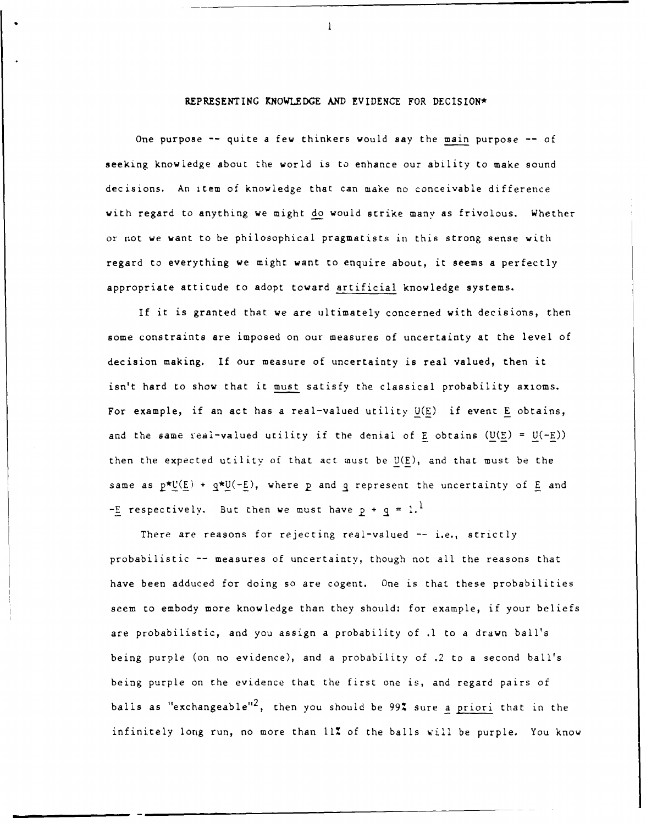### REPRESENTING KNOWLEDGE AND EVIDENCE FOR DECISION\*

 $\mathbf{1}$ 

One purpose -- quite a few thinkers would say the main purpose -- of seeking knowledge about the world is to enhance our ability to make sound decisions. An item of knowledge that can make no conceivable difference with regard to anything we might do would strike many as frivolous. Whether or not we want to be philosophical pragmatists in this strong sense with regard to everything we might want to enquire about, it seems a perfectly appropriate attitude to adopt toward artificial knowledge systems.

If it is granted that we are ultimately concerned with decisions, then some constraints are imposed on our measures of uncertainty at the level of decision making. If our measure of uncertainty is real valued, then it isn't hard to show that it must satisfy the classical probability axioms. For example, if an act has a real-valued utility U(E) if event E obtains, and the same real-valued utility if the denial of E obtains  $(U(E) = U(-E))$ then the expected utility of that act must be U(E), and that must be the same as  $p^{\star}U(E)$  +  $q^{\star}U(-E)$ , where p and q represent the uncertainty of E and  $-E$  respectively. But then we must have  $p + q = 1$ .<sup>1</sup>

There are reasons for rejecting real-valued -- i.e., strictly probabilistic -- measures of uncertainty, though not all the reasons that have been adduced for doing so are cogent. One is that these probabilities seem to embody more knowledge than they should: for example, if your beliefs are probabilistic, and you assign a probability of **.1** to a drawn ball's being purple (on no evidence), and a probability of .2 to a second ball's being purple on the evidence that the first one is, and regard pairs of balls as "exchangeable"<sup>2</sup>, then you should be 99% sure a priori that in the infinitely long run, no more than 11% of the balls will be purple. You know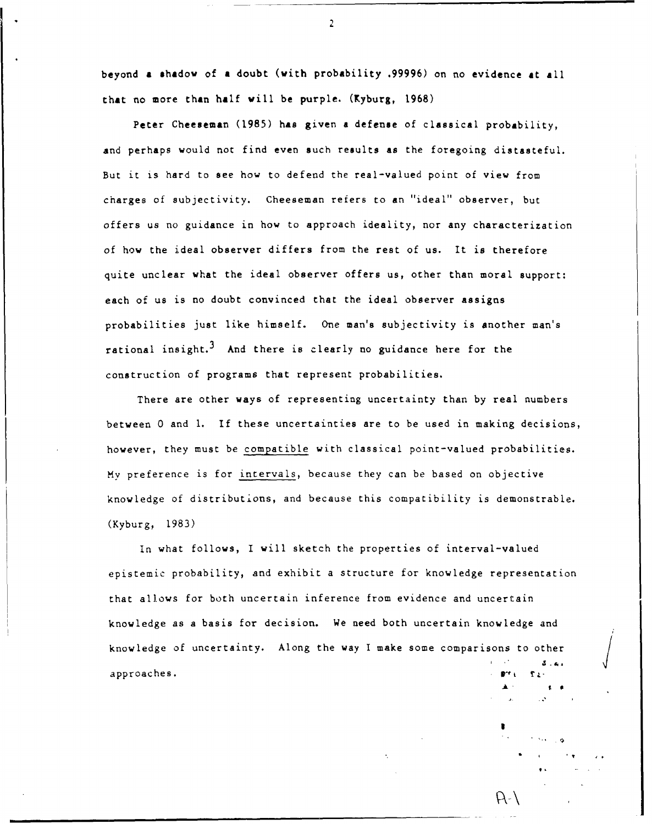beyond a shadow of a doubt (with probability .99996) on no evidence at all that no more than half will be purple. (Kyburg, 1968)

Peter Cheeseman (1985) has given a defense of classical probability, and perhaps would not find even such results as the foregoing distasteful. But it is hard to see how to defend the real-valued point of view from charges of subjectivity. Cheeseman refers to an "ideal" observer, but offers us no guidance in how to approach ideality, nor any characterization of how the ideal observer differs from the rest of us. It is therefore quite unclear what the ideal observer offers us, other than moral support: each of us is no doubt convinced that the ideal observer assigns probabilities just like himself. One man's subjectivity is another man's rational insight.<sup>3</sup> And there is clearly no guidance here for the construction of programs that represent probabilities.

There are other ways of representing uncertainty than by real numbers between 0 and **1.** If these uncertainties are to be used in making decisions, however, they must be compatible with classical point-valued probabilities. My preference is for intervals, because they can be based on objective knowledge of distributions, and because this compatibility is demonstrable. (Kyburg, 1983)

In what follows, I will sketch the properties of interval-valued epistemic probability, and exhibit a structure for knowledge representation that allows for both uncertain inference from evidence and uncertain knowledge as a basis for decision. We need both uncertain knowledge and knowledge of uncertainty. Along the way I make some comparisons to other  $\begin{pmatrix} 1 & 1 & 1 \\ 0 & 0 & 0 \\ 0 & 0 & 0 \\ 0 & 0 & 0 \\ 0 & 0 & 0 \\ 0 & 0 & 0 \\ 0 & 0 & 0 \\ 0 & 0 & 0 \\ 0 & 0 & 0 \\ 0 & 0 & 0 \\ 0 & 0 & 0 \\ 0 & 0 & 0 \\ 0 & 0 & 0 \\ 0 & 0 & 0 \\ 0 & 0 & 0 \\ 0 & 0 &$ 

a.

" ~2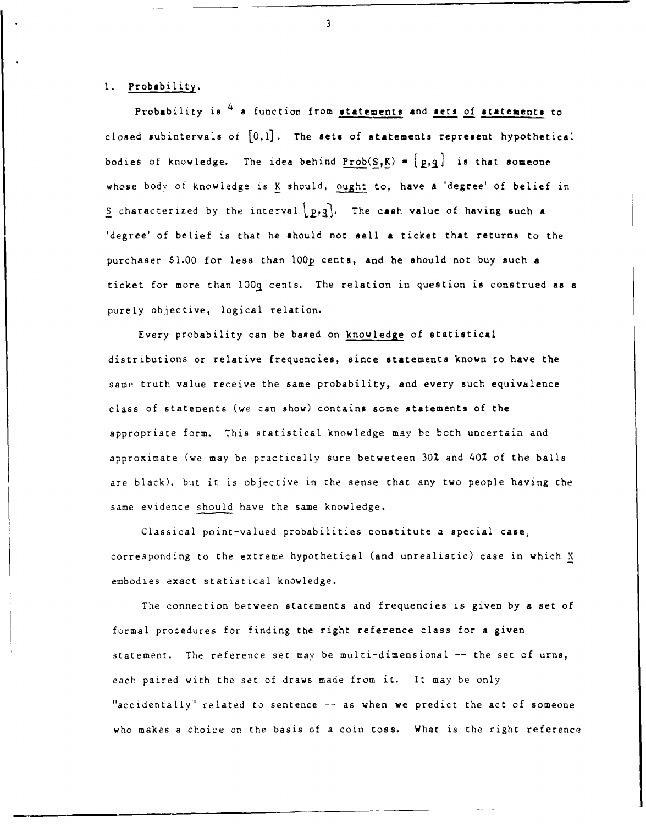## I. Probability.

Probability is  $4$  a function from statements and sets of statements to closed subintervals of  $[0,1]$ . The sets of statements represent hypothetical bodies of knowledge. The idea behind  $Prob(S,K) = [p,q]$  is that someone whose body of knowledge is K should, ought to, have a 'degree' of belief in S characterized by the interval  $\lfloor p,q \rfloor$ . The cash value of having such a 'degree' of belief is that he should not sell a ticket that returns to the purchaser \$1.00 for less than 100p cents, and he should not buy such a ticket for more than 100q cents. The relation in question is construed as a purely objective, logical relation.

Every probability can be based on knowledge of statistical distributions or relative frequencies, since statements known to have the same truth value receive the same probability, and every such equivalence class of statements (we can show) contains some statements of the appropriate form. This statistical knowledge may be both uncertain and approximate (we may be practically sure betweteen 30% and 40% of the balls are black), but it is objective in the sense that any two people having the same evidence should have the same knowledge.

Classical point-valued probabilities constitute a special case, corresponding to the extreme hypothetical (and unrealistic) case in which X embodies exact statistical knowledge.

The connection between statements and frequencies is given by a set of formal procedures for finding the right reference class for a given statement. The reference set may be multi-dimensional -- the set of urns, each paired with the set of draws made from it. It may be only "accidentally" related to sentence -- as when we predict the act of someone who makes a choice on the basis of a coin toss. What is the right reference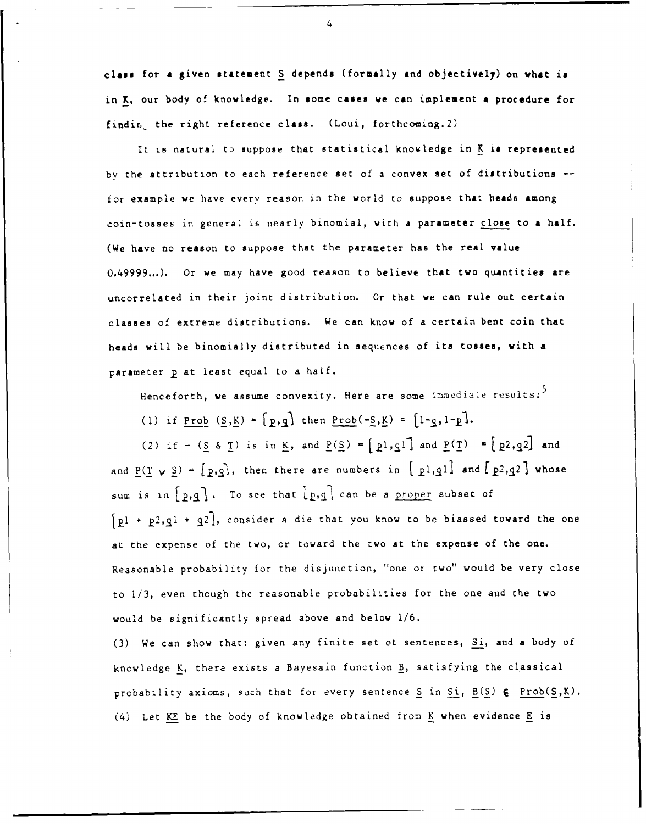class for **a** given statement **S** depends (formally and objectively) on **vhat** is in K, our body of knowledge. In some cases we can implement **a** procedure for findir. the right reference class. (Loui, forthcoming.2)

It is natural to suppose that statistical knowledge in K is represented by the attribution to each reference set of a convex set of distributions - for example we have every reason in the world to suppose that heads among coin-tosses in generai is nearly binomial, with a parameter close to a half. (We have no reason to suppose that the parameter has the real value 0.49999...). Or we may have good reason to believe that two quantities are uncorrelated in their joint distribution. Or that we can rule out certain classes of extreme distributions. We can know of a certain bent coin that heads will be binomially distributed in sequences of its tosses, with a parameter **p** at least equal to a half.

Henceforth, we assume convexity. Here are some immediate results:<sup>5</sup>

(1) if Prob  $(S,K) = \begin{bmatrix} p,q \end{bmatrix}$  then  $Prob(-S,K) = \begin{bmatrix} 1-q,1-p \end{bmatrix}$ .

(2) if - ( $S$  &  $T$ ) is in K, and  $P(S) = [p1,q1]$  and  $P(T) = [p2,q2]$  and and  $\underline{P}(I \vee \underline{S}) = [\underline{P}, \underline{q}],$  then there are numbers in  $[\underline{P1}, \underline{q1}]$  and  $[\underline{P2}, \underline{q2}]$  whose sum is in  $[p,q]$ . To see that  $[p,q]$  can be a proper subset of  $[p1 + p2, q1 + q2]$ , consider a die that you know to be biassed toward the one at the expense of the two, or toward the two at the expense of the one. Reasonable probability for the disjunction, "one or two" would be very close to 1/3, even though the reasonable probabilities for the one and the two would be significantly spread above and below 1/6.

(3) We can show that: given any finite set ot sentences, Si, and a body of knowledge K, there exists a Bayesain function B, satisfying the classical probability axioms, such that for every sentence S in Si, B(S) **q** Prob(S,K). (4) Let KE be the body of knowledge obtained from K when evidence E is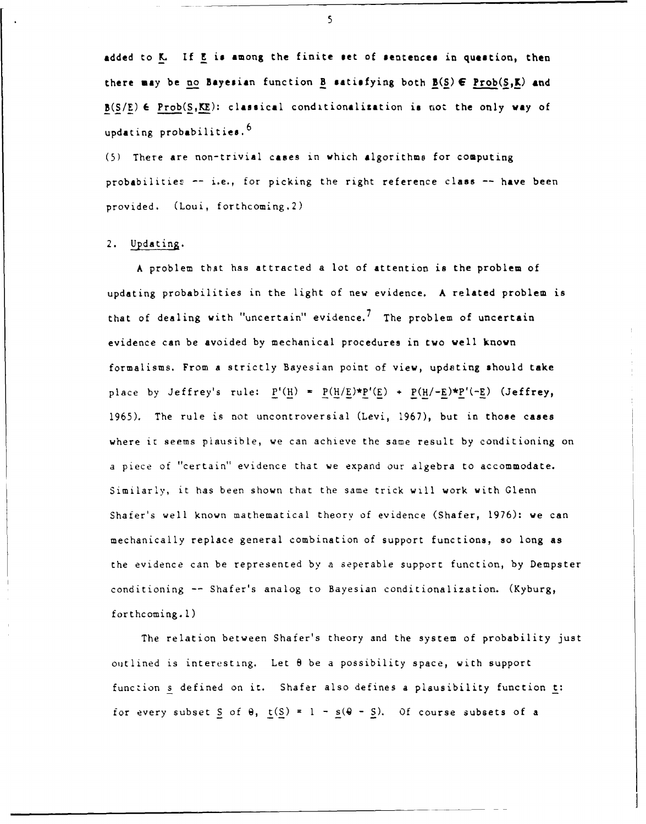added to **K.** If **E** is among the finite **set** of sentences in question, then there **may** be **no** Bayesian function B satisfying both **B(S) E** Prob(S,K) and **B(S/E)** 6 Prob(S,KE): classical conditionalization **is** not the only way of updating probabilities. $^6$ 

**(5)** There are non-trivial cases in which algorithms for computing probabilities -- i.e., for picking the right reference class -- have been provided. (Loui, forthcoming.2)

### 2. Updating.

A problem that has attracted a lot of attention is the problem of updating probabilities in the light of new evidence. A related problem is that of dealing with "uncertain" evidence.<sup>7</sup> The problem of uncertain evidence can be avoided by mechanical procedures in two well known formalisms. From a strictly Bayesian point of view, updating should take place by Jeffrey's rule:  $P'(H) = P(H/E)*P'(E) + P(H/-E)*P'(-E)$  (Jeffrey, 1965). The rule is not uncontroversial (Levi, 1967), but in those cases where it seems plausible, we can achieve the same result by conditioning on a piece of "certain" evidence that we expand our algebra to accommodate. Similarly, it has been shown that the same trick will work with Glenn Shafer's well known mathematical theory of evidence (Shafer, 1976): we can mechanically replace general combination of support functions, so long as the evidence can be represented by a seperable support function, by Dempster conditioning -- Shafer's analog to Bayesian conditionalization. (Kyburg, forthcoming.!)

The relation between Shafer's theory and the system of probability just outlined is interesting. Let **8** be a possibility space, with support function s defined on it. Shafer also defines a plausibility function t: for every subset  $S$  of  $\theta$ ,  $t(S) = 1 - s(\theta - S)$ . Of course subsets of a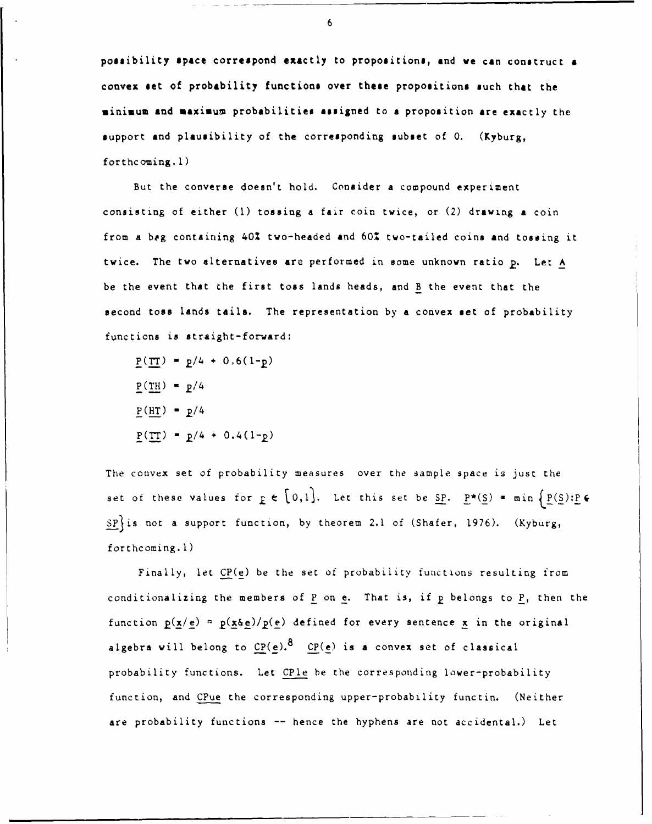possibility \$Pace correspond exactly to propositions, and **we** can construct **<sup>a</sup>** convex **set** of probability functions over these propositions such that the minimum and maximum probabilities assigned to **a** proposition are exactly the support and plausibility of the corresponding subset of **0.** (Kyburg, forthcoming.1)

But the converse doesn't hold. Consider a compound experiment consisting of either **(1)** tossing a fair coin twice, or (2) drawing a coin from a **beg** containing 40% two-headed and **60%** two-tailed coins and tossing it twice. The two alternatives are performed in some unknown ratio p. Let A be the event that the first toss lands heads, and B the event that the second toss lands tails. The representation by a convex set of probability functions is straight-forward:

 $P(TT) = p/4 + 0.6(1-p)$  $P(TH) = p/4$  $P(HT) = p/4$  $P(TT) = p/4 + 0.4(1-p)$ 

The convex set of probability measures over the sample space is just the set of these values for  $\underline{r} \in [0,1]$ . Let this set be <u>SP</u>.  $\underline{P*(S)} = \min \{ \underline{P(S)} : \underline{P} \in$  $SP$  is not a support function, by theorem 2.1 of (Shafer, 1976). (Kyburg, forthcoming.1)

Finally, let CP(e) be the set of probability functions resulting from conditionalizing the members of P on e. That is, if **p** belongs to P, then the function  $p(x/e) = p(x\delta e)/p(e)$  defined for every sentence x in the original algebra will belong to  $CP(e)$ .<sup>8</sup> CP(e) is a convex set of classical probability functions. Let CPle be the corresponding lower-probability function, and CPue the corresponding upper-probability functin. (Neither are probability functions -- hence the hyphens are not accidental.) Let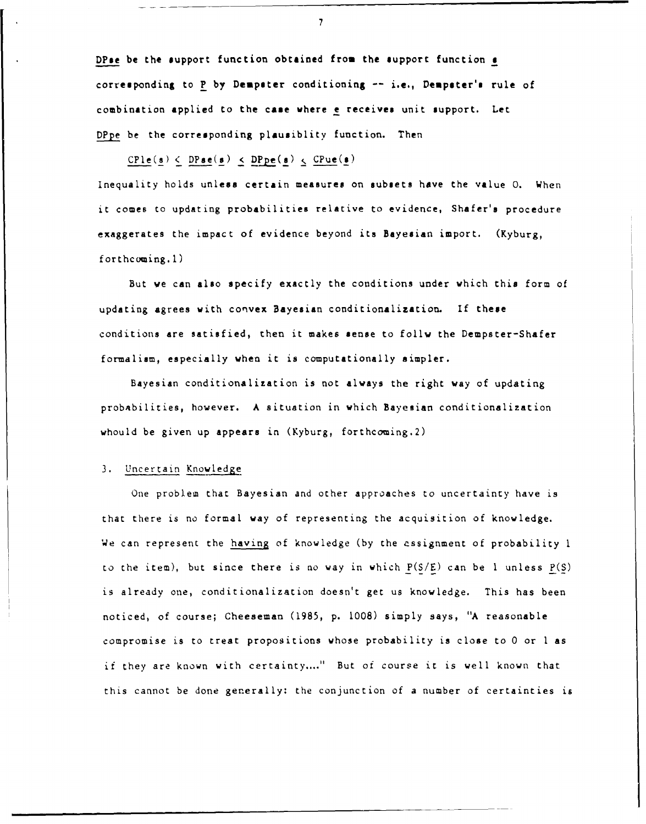DPse be the support function obtained from the support function **<sup>a</sup>** corresponding to P by Dempster conditioning -- i.e., Dempster's rule of combination applied to the case vhere e receives unit support. Let DPpe be the corresponding plausiblity function. Then

 $\text{CPIe}(s) \leq \text{DPse}(s) \leq \text{DPpe}(s) \leq \text{CPue}(s)$ 

Inequality holds unless certain measures on subsets have the value **0.** When it comes to updating probabilities relative to evidence, Shafer's procedure exaggerates the impact of evidence beyond its Bayesian import. (Kyburg, forthcoming.1)

But we can also specify exactly the conditions under which this form of updating agrees with convex Bayesian conditionalization. If these conditions are satisfied, then it makes sense to follw the Dempster-Shafer formalism, especially when it is computationally simpler.

Bayesian conditionalization is not always the right way of updating probabilities, however. A situation in which Bayesian conditionalization whould be given up appears in (Kyburg, forthcoming.2)

# 3. Uncertain Knowledge

One problem that Bayesian and other approaches to uncertainty have is that there is no formal way of representing the acquisition of knowledge. We can represent the having of knowledge (by the assignment of probability **<sup>I</sup>** to the item), but since there is no way in which P(S/E) can be **I** unless P(S) is already one, conditionalization doesn't get us knowledge. This has been noticed, of course; Cheeseman (1985, p. 1008) simply says, "A reasonable compromise is to treat propositions whose probability is close to 0 or I as if they are known with certainty...." But of course it is well known that this cannot be done generally: the conjunction of a number of certainties is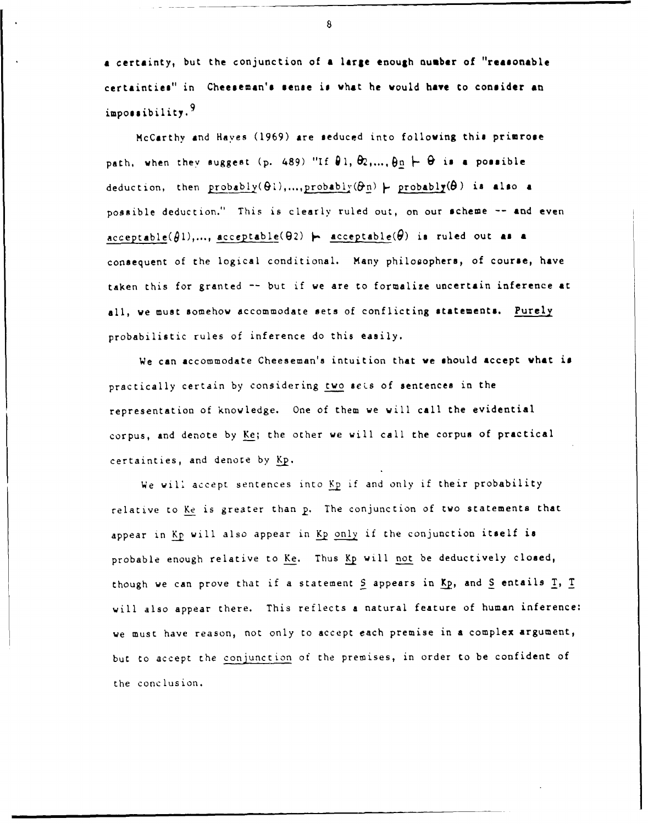**<sup>a</sup>**certainty, but the conjunction of **a** large enough number of "reasonable certainties" in Cheeseman's sense is what he would **have** to consider an impossibility. 9

McCarthy and Haves (1969) are seduced into following this primrose path, when they suggest (p. 489) "If  $\theta$ 1,  $\theta$ 2,...,  $\theta$ n  $\vdash \theta$  is a possible deduction, then  $\text{probability}(\Theta1), \dots, \text{probability}(\Theta n) \models \text{probability}(\Theta)$  is also a possible deduction." This is clearly ruled out, on our scheme -- and even  $acceptable(\theta1), ..., acceptable(\theta2) \mapsto acceptable(\theta)$  is ruled out as a consequent of the logical conditional. Many philooophers, of course, have taken this for granted -- but if we are to formalize uncertain inference at all, we must somehow accommodate sets of conflicting statements. Purely probabilistic rules of inference do this easily.

We can accommodate Cheeseman's intuition that we should accept what is practically certain by considering two sets of sentences in the representation of knowledge. One of them we will call the evidential corpus, and denote by Ke; the other we will call the corpus of practical certainties, and denote by **Kp.**

We will accept sentences into Kp if and only if their probability relative to Ke is greater than p. The conjunction of two statements that appear in Kp will also appear in Kp only if the conjunction itself is probable enough relative to Ke. Thus Kp will not be deductively closed, though we can prove that if a statement S appears in Kp, and S entails I, I will also appear there. This reflects a natural feature of human inference: we must have reason, not only to accept each premise in a complex argument, but to accept the conjunction of the premises, in order to be confident of the conclusion.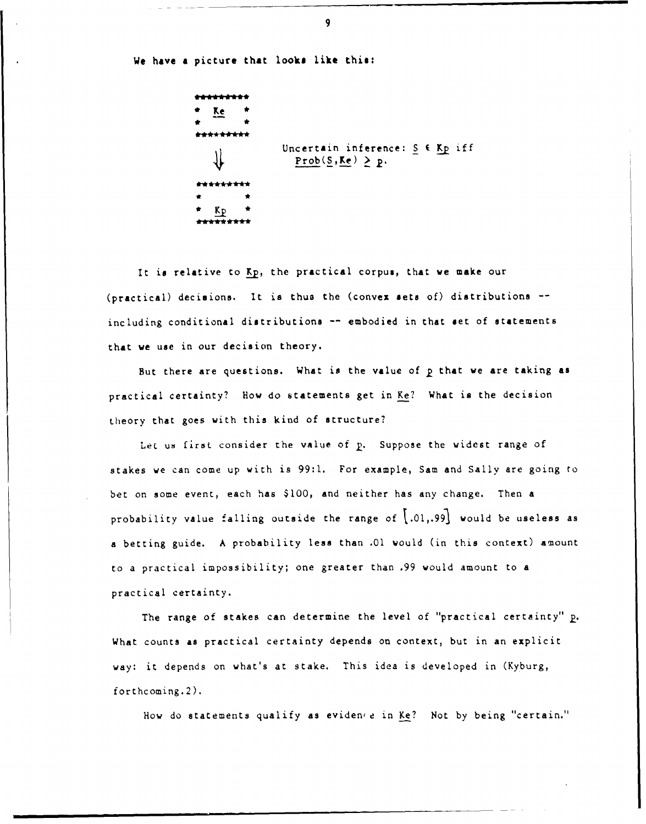We have **a** picture that looks like this:

 $\frac{r}{r}$  Ke  $\frac{r}{r}$ Uncertain inference:  $S \in Kp$  iff  $Prob(S, Ke) \geq p.$  $\star$   $\star$ 

It is relative to Kp, the practical corpus, that we make our (practical) decisions. It is thus the (convex sets of) distributions - including conditional distributions -- embodied in that set of statements that we use in our decision theory.

But there are questions. What is the value of p that we are taking as practical certainty? How do statements get in Ke? What is the decision theory that goes with this kind of structure?

Let us first consider the value of p. Suppose the widest range of stakes we can come up with is 99:1. For example, Sam and Sally are going to bet on some event, each has \$l00, and neither has any change. Then a probability value falling outside the range of  $[.01, .99]$  would be useless as a betting guide. A probability less than .01 would (in this context) amount to a practical impossibility; one greater than .99 would amount to a practical certainty.

The range of stakes can determine the level of "practical certainty" p. What counts as practical certainty depends on context, but in an explicit way: it depends on what's at stake. This idea is developed in (Kyburg, forthcoming.2),

How do statements qualify as evidence in Ke? Not by being "certain."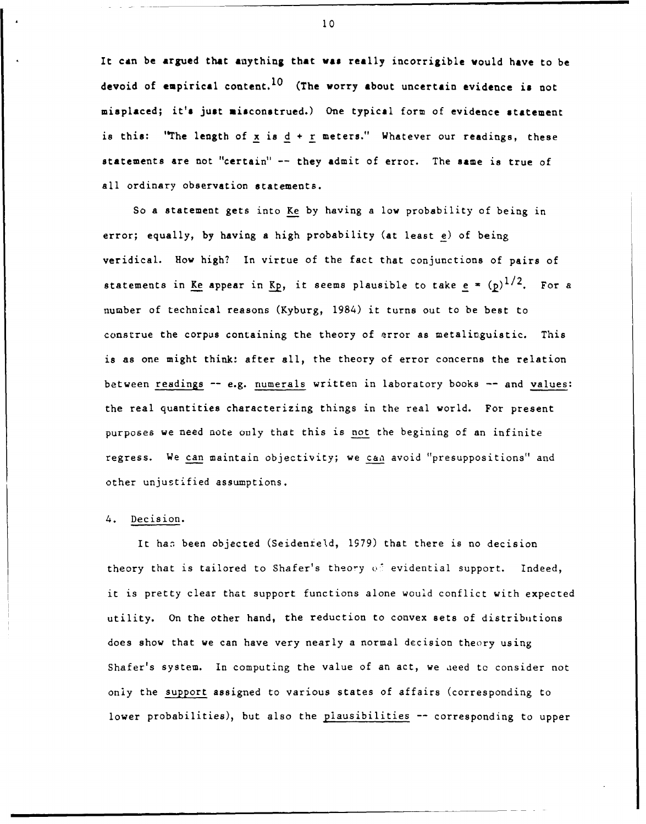It can be argued that anything that was really incorrigible would have to be devoid of empirical content.<sup>10</sup> (The worry about uncertain evidence is not misplaced; it's just misconstrued.) One typical form of evidence statement is this: "The length of x is  $d + r$  meters." Whatever our readings, these statements are not "certain" -- they admit of error. The same is true of all ordinary observation statements.

So a statement gets into Ke by having a low probability of being in error; equally, by having a high probability (at least e) of being veridical. How high? In virtue of the fact that conjunctions of pairs of statements in <u>Ke</u> appear in Kp, it seems plausible to take  $e = (p)^{1/2}$ . For a number of technical reasons (Kyburg, 1984) it turns out to be best to construe the corpus containing the theory of error as metalinguistic. This is as one might think: after all, the theory of error concerns the relation between readings -- e.g. numerals written in laboratory books -- and values: the real quantities characterizing things in the real world. For present purposes we need note only that this is not the begining of an infinite regress. We can maintain objectivity; we can avoid "presuppositions" and other unjustified assumptions.

#### 4. Decision.

It han been objected (Seidenteld, 1979) that there is no decision theory that is tailored to Shafer's theory **(.'** evidential support. Indeed, it is pretty clear that support functions alone would conflict with expected utility. On the other hand, the reduction to convex sets of distributions does show that we can have very nearly a normal decision theory using Shafer's system. In computing the value of an act, we ieed to consider not only the support assigned to various states of affairs (corresponding to lower probabilities), but also the plausibilities -- corresponding to upper

**<sup>a</sup>10**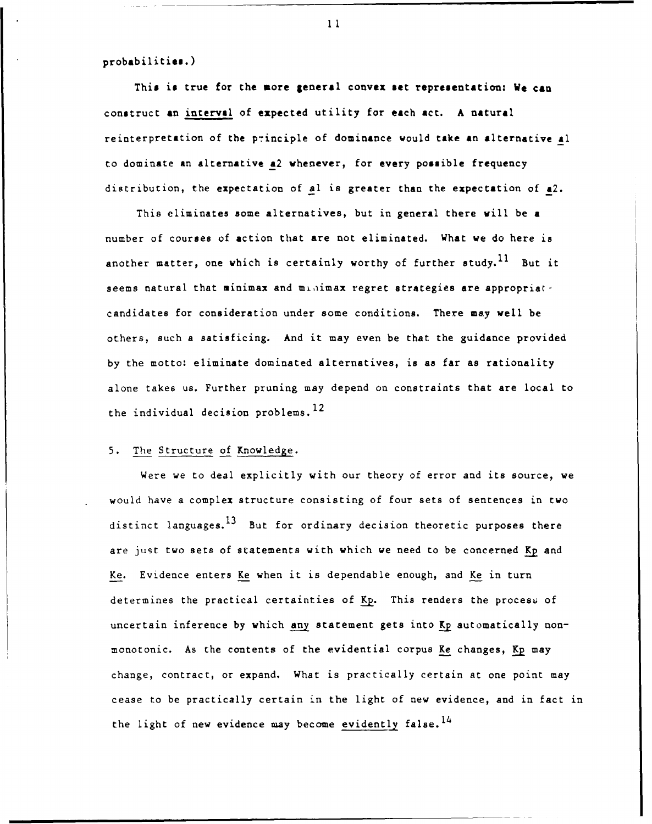probabilities.)

This **is** true for the more general convex set representation: We **can** construct an interval of expected utility for each act. **A** natural reinterpretation of the principle of dominance would take an alternative al to dominate an alternative a2 whenever, for every possible frequency distribution, the expectation of *Al* is greater than the expectation of a2.

This eliminates some alternatives, but in general there will be a number of courses of action that are not eliminated. What we do here is another matter, one which is certainly worthy of further study.<sup>11</sup> But it seems natural that minimax and minimax regret strategies are appropriate candidates for consideration under some conditions. There may well be others, such a satisficing. And it may even be that the guidance provided by the motto: eliminate dominated alternatives, is as far as rationality alone takes us. Further pruning may depend on constraints that are local to the individual decision problems.  $^{12}$ 

#### 5. The Structure of Knowledge.

Were we to deal explicitly with our theory of error and its source, we would have a complex structure consisting of four sets of sentences in two distinct languages.<sup>13</sup> But for ordinary decision theoretic purposes there are just two sets of statements with which we need to be concerned **Kp** and Ke. Evidence enters Ke when it is dependable enough, and Ke in turn determines the practical certainties of Kp. This renders the process of uncertain inference by which any statement gets into Kp automatically nonmonotonic. As the contents of the evidential corpus Ke changes, Kp may change, contract, or expand. What is practically certain at one point may cease to be practically certain in the light of new evidence, and in fact in the light of new evidence may become evidently false.  $^{14}$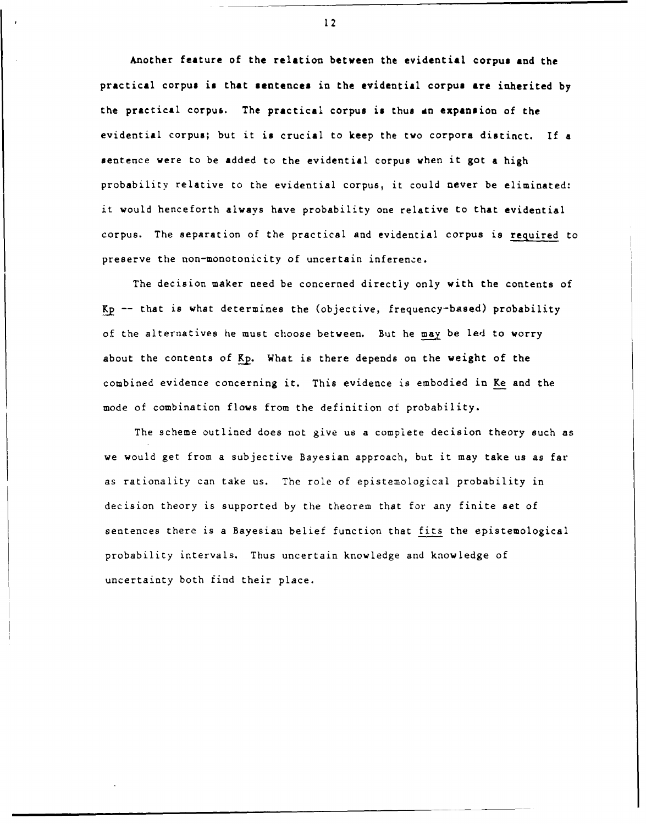Another feature of the relation between the evidential corpus and the practical corpus is that sentences in the evidential corpus are inherited by the practical corpus. The practical corpus is thus dn expansion of the evidential corpus; but it is crucial to keep the two corpora distinct. If a sentence were to be added to the evidential corpus when it got a high probability relative to the evidential corpus, it could never be eliminated: it would henceforth always have probability one relative to that evidential corpus. The separation of the practical and evidential corpus is required to preserve the non-monotonicity of uncertain inference.

The decision maker need be concerned directly only with the contents of **Kp** -- that is what determines the (objective, frequency-based) probability of the alternatives he must choose between. But he may be led to worry about the contents of Kp. What is there depends on the weight of the combined evidence concerning it. This evidence is embodied in Ke and the mode of combination flows from the definition of probability.

The scheme outlined does not give us a complete decision theory such as we would get from a subjective Bayesian approach, but it may take us as far as rationality can take us. The role of epistemological probability in decision theory is supported by the theorem that for any finite set of sentences there is a Bayesiau belief function that fits the epistemological probability intervals. Thus uncertain knowledge and knowledge of uncertainty both find their place.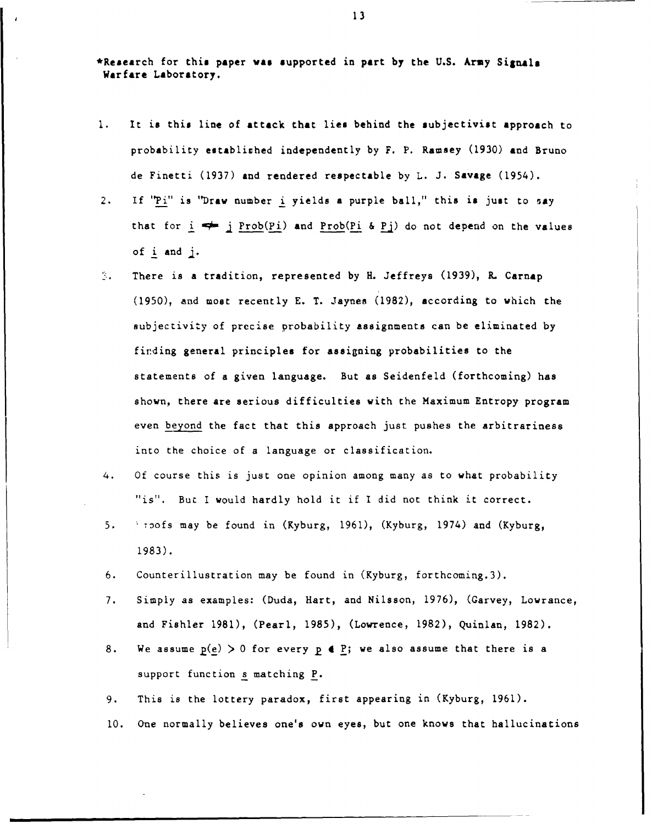\*Research for this paper **vas** supported in part **by** the **U.S.** Army **Signls** Warfare Laboratory.

- **1.** It is this line of attack that lies behind the subjectivist approach to probability establiched independently **by** F. P. Ramsey **(1930)** and Bruno de Finetti **(1937)** and rendered respectable **by** L. J. Savage (1954).
- 2. If "Pi" is **"Draw** number i yields a purple ball," this is just to say that for  $i \leftrightarrow j$  Prob(Pi) and Prob(Pi & Pj) do not depend on the values of i and
- There is a tradition, represented by H. Jeffreys (1939), R. Carnap  $\mathbb{R}^n$ (1950), and most recently E. T. Jaynes (1982), according to which the subjectivity of precise probability assignments can be eliminated by firding general principles for assigning probabilities to the statements of a given language. But as Seidenfeld (forthcoming) has shown, there are serious difficulties with the Maximum Entropy program even beyond the fact that this approach just pushes the arbitrariness into the choice of a language or classification.
- 4. Of course this is just one opinion among many as to what probability "is". Buc I would hardly hold it if I did not think it correct.
- 5. *toofs may be found in (Kyburg, 1961), (Kyburg, 1974) and (Kyburg,* 1983).
- 6. Counterillustration may be found in (Kyburg, forthcoming.3).
- 7. Simply as examples: (Duda, Hart, and Nilsson, 1976), (Garvey, Lowrance, and Fishier 1981), (Pearl, 1985), (Lowrence, 1982), Quinlan, 1982).
- 8. We assume  $p(e) > 0$  for every  $p \in P$ ; we also assume that there is a support function s matching P.
- 9. This is the lottery paradox, first appearing in (Kyburg, 1961).
- **10.** One normally believes one's own eyes, but one knows that hallucinations

, **13**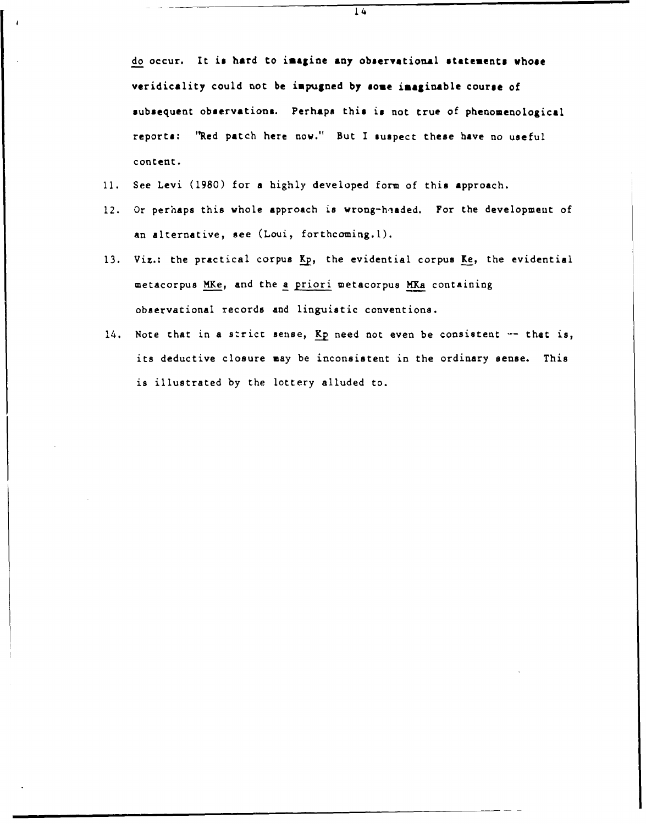14

do occur. It is hard to imagine any observational statements **whose** veridicality could not be impugned **by** some **imaginable** course of subsequent observations. Perhaps this is not true of phenomenological reports: **'Red** patch here now." But I suspect these have no useful content.

- **11.** See Levi (1980) for a highly developed form of this approach.
- 12. Or perhaps this whole approach is wrong-headed. For the development of an alternative, see (Loui, forthcoming.1).
- 13. Viz.: the practical corpus Kp, the evidential corpus Ke, the evidential metacorpus MKe, and the a priori metacorpus MKa containing observational records and linguistic conventions.
- 14. Note that in a strict sense, Kp need not even be consistent  $-$  that is, its deductive closure may be inconsistent in the ordinary sense. This is illustrated by the lottery alluded to.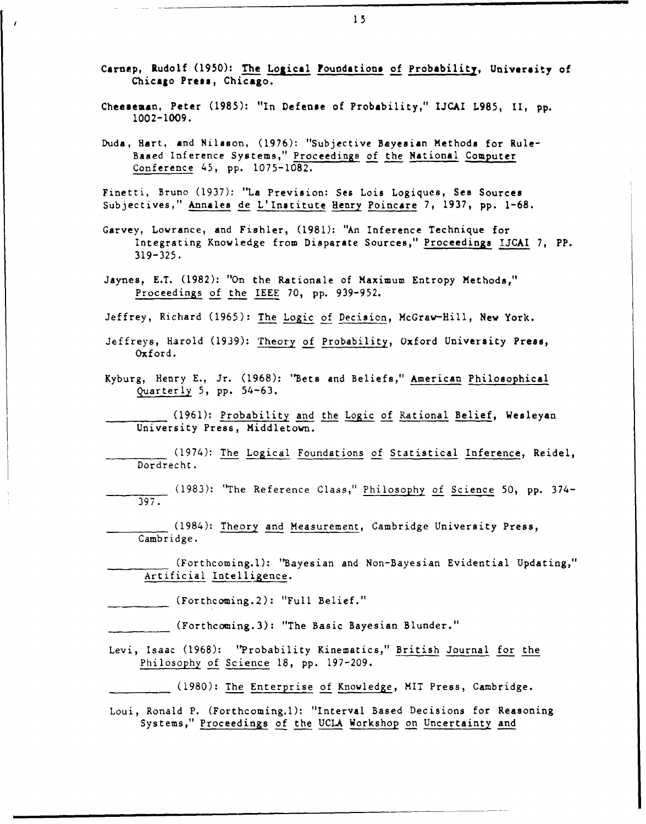- Carnap, Rudolf **(1950):** The Logical Foundations of Probability, University of Chicago Press, **Chicago.**
- Cheeseman, Peter (1985): "In Defense of Probability," IJCAI L985, II, pp. **1002-1009.**
- Duda, Hart, and Nilsson, (1976): "Subjective Bayesian Methods for Rule-Based Inference Systems," Proceedings of the National Computer Conference 45, pp. 1075-1082.

Finetti, Bruno (1937): "La Prevision: Sea Lois Logiques, Sea Sources Subjectives," Annales de L'Institute Henry Poincare 7, 1937, pp. 1-68.

- Garvey, Lowrance, and Fishler, (1981): "An Inference Technique for Integrating Knowledge from Disparate Sources," Proceedings IJCAI 7, PP. **319-325.**
- Jaynes, E.T. (1982): "On the Rationale of Maximum Entropy Methods," Proceedings of the IEEE 70, pp. 939-952.

Jeffrey, Richard (1965): The Logic of Decision, McGraw-Hill, New York.

- Jeffreys, Harold (1939): Theory of Probability, Oxford University Press, Oxford.
- Kyburg, Henry E., Jr. (1968): "Bets and Beliefs," American Philosophical Quarterly 5, pp. 54-63.

(1961): Probability and the Logic of Rational Belief, Wesleyan University Press, Middletown.

(1974): The Logical Foundations of Statistical Inference, Reidel, Dordrecht.

(1983): "The Reference Class," Philosophy of Science 50, pp. 374- 397.

(1984): Theory and Measurement, Cambridge University Press, Cambridge.

(Forthcoming.l): "Bayesian and Non-Bayesian Evidential Updating," Artificial Intelligence.

(Forthcoming.2): "Full Belief."

(Forthcoming.3): "The Basic Bayesian Blunder."

- Levi, Isaac **(1968):** "Probability Kinematics," British Journal for the Philosophy of Science 18, pp. 197-209.
	- (1980): The Enterprise of Knowledge, MIT Press, Cambridge.

Loui, Ronald P. (Forthcoming.l): "Interval Based Decisions for Reasoning Systems," Proceedings of the UCLA Workshop on Uncertainty and